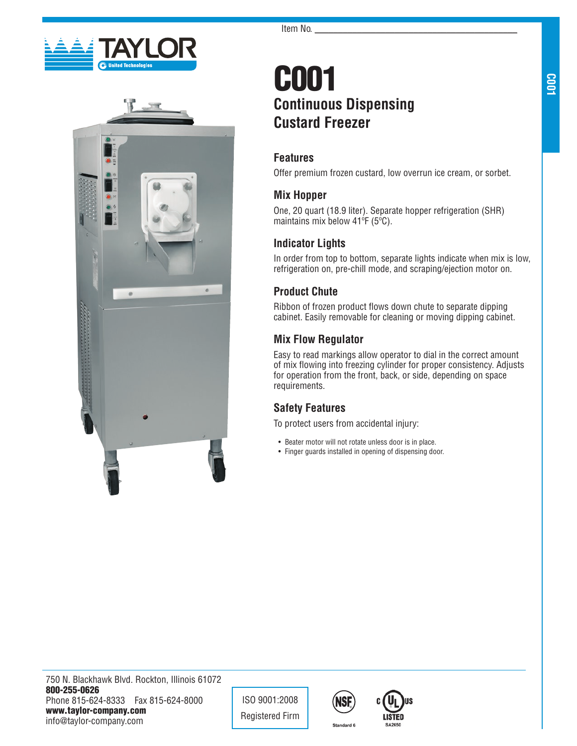



# C001 **Continuous Dispensing Custard Freezer**

### **Features**

Offer premium frozen custard, low overrun ice cream, or sorbet.

### **Mix Hopper**

One, 20 quart (18.9 liter). Separate hopper refrigeration (SHR) maintains mix below 41ºF (5ºC).

## **Indicator Lights**

In order from top to bottom, separate lights indicate when mix is low, refrigeration on, pre-chill mode, and scraping/ejection motor on.

## **Product Chute**

Ribbon of frozen product flows down chute to separate dipping cabinet. Easily removable for cleaning or moving dipping cabinet.

## **Mix Flow Regulator**

Easy to read markings allow operator to dial in the correct amount of mix flowing into freezing cylinder for proper consistency. Adjusts for operation from the front, back, or side, depending on space requirements.

## **Safety Features**

To protect users from accidental injury:

- Beater motor will not rotate unless door is in place.
- Finger guards installed in opening of dispensing door.

**C001**

ISO 9001:2008 Registered Firm